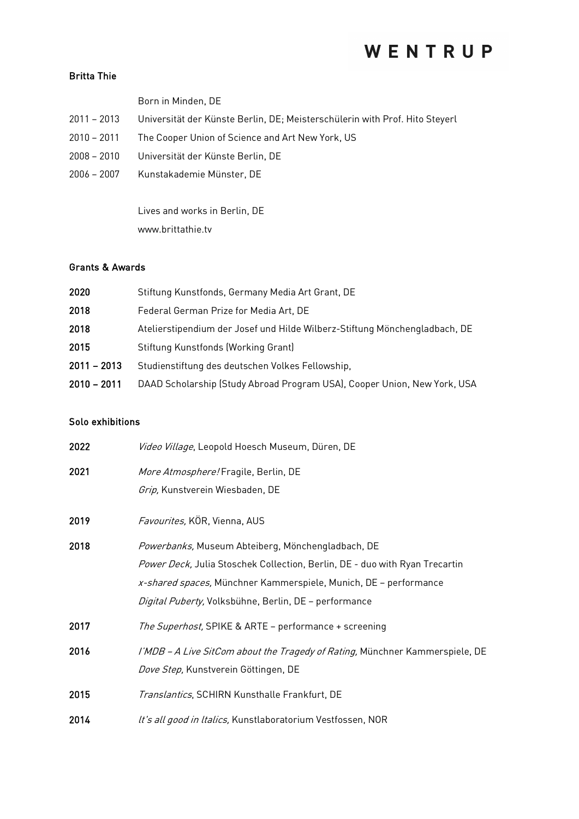## WENTRUP

### Britta Thie

|  |  | Born in Minden, DE |  |
|--|--|--------------------|--|
|--|--|--------------------|--|

- 2011 2013 Universität der Künste Berlin, DE; Meisterschülerin with Prof. Hito Steyerl
- 2010 2011 The Cooper Union of Science and Art New York, US
- 2008 2010 Universität der Künste Berlin, DE
- 2006 2007 Kunstakademie Münster, DE

Lives and works in Berlin, DE www.brittathie.tv

### Grants & Awards

| 2020          | Stiftung Kunstfonds, Germany Media Art Grant, DE                           |
|---------------|----------------------------------------------------------------------------|
| 2018          | Federal German Prize for Media Art, DE                                     |
| 2018          | Atelierstipendium der Josef und Hilde Wilberz-Stiftung Mönchengladbach, DE |
| 2015          | Stiftung Kunstfonds (Working Grant)                                        |
| $2011 - 2013$ | Studienstiftung des deutschen Volkes Fellowship,                           |
| $2010 - 2011$ | DAAD Scholarship (Study Abroad Program USA), Cooper Union, New York, USA   |

### Solo exhibitions

| 2022 | Video Village, Leopold Hoesch Museum, Düren, DE                              |
|------|------------------------------------------------------------------------------|
| 2021 | More Atmosphere! Fragile, Berlin, DE                                         |
|      | Grip, Kunstverein Wiesbaden, DE                                              |
| 2019 | Favourites, KÖR, Vienna, AUS                                                 |
| 2018 | Powerbanks, Museum Abteiberg, Mönchengladbach, DE                            |
|      | Power Deck, Julia Stoschek Collection, Berlin, DE - duo with Ryan Trecartin  |
|      | x-shared spaces, Münchner Kammerspiele, Munich, DE - performance             |
|      | Digital Puberty, Volksbühne, Berlin, DE - performance                        |
| 2017 | The Superhost, SPIKE & ARTE - performance + screening                        |
| 2016 | I'MDB - A Live SitCom about the Tragedy of Rating, Münchner Kammerspiele, DE |
|      | Dove Step, Kunstverein Göttingen, DE                                         |
| 2015 | Translantics, SCHIRN Kunsthalle Frankfurt, DE                                |
| 2014 | It's all good in Italics, Kunstlaboratorium Vestfossen, NOR                  |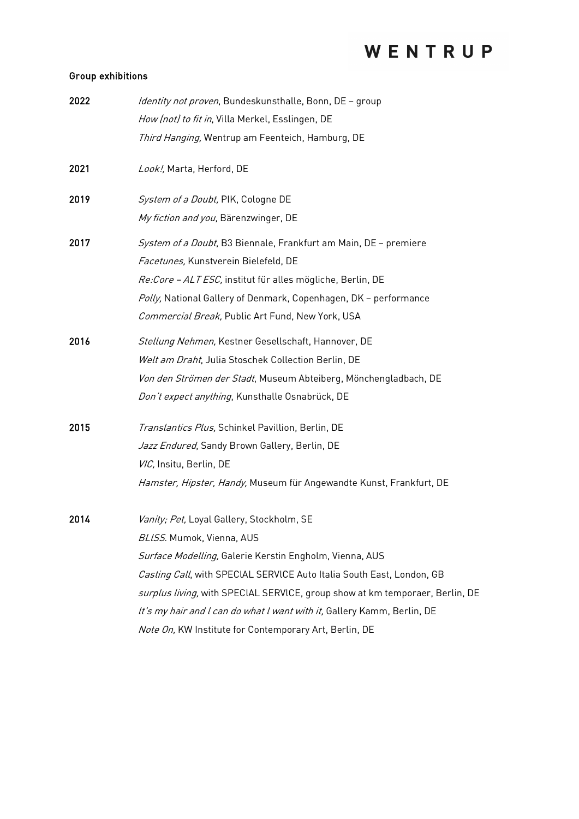# WENTRUP

### Group exhibitions

| 2022 | Identity not proven, Bundeskunsthalle, Bonn, DE - group                      |
|------|------------------------------------------------------------------------------|
|      | How (not) to fit in, Villa Merkel, Esslingen, DE                             |
|      | Third Hanging, Wentrup am Feenteich, Hamburg, DE                             |
| 2021 | Look!, Marta, Herford, DE                                                    |
| 2019 | System of a Doubt, PIK, Cologne DE                                           |
|      | My fiction and you, Bärenzwinger, DE                                         |
| 2017 | System of a Doubt, B3 Biennale, Frankfurt am Main, DE - premiere             |
|      | Facetunes, Kunstverein Bielefeld, DE                                         |
|      | Re: Core - ALT ESC, institut für alles mögliche, Berlin, DE                  |
|      | Polly, National Gallery of Denmark, Copenhagen, DK - performance             |
|      | Commercial Break, Public Art Fund, New York, USA                             |
| 2016 | Stellung Nehmen, Kestner Gesellschaft, Hannover, DE                          |
|      | Welt am Draht, Julia Stoschek Collection Berlin, DE                          |
|      | Von den Strömen der Stadt, Museum Abteiberg, Mönchengladbach, DE             |
|      | Don't expect anything, Kunsthalle Osnabrück, DE                              |
| 2015 | Translantics Plus, Schinkel Pavillion, Berlin, DE                            |
|      | Jazz Endured, Sandy Brown Gallery, Berlin, DE                                |
|      | VIC, Insitu, Berlin, DE                                                      |
|      | Hamster, Hipster, Handy, Museum für Angewandte Kunst, Frankfurt, DE          |
| 2014 | Vanity; Pet, Loyal Gallery, Stockholm, SE                                    |
|      | BLISS. Mumok, Vienna, AUS                                                    |
|      | Surface Modelling, Galerie Kerstin Engholm, Vienna, AUS                      |
|      | Casting Call, with SPECIAL SERVICE Auto Italia South East, London, GB        |
|      | surplus living, with SPECIAL SERVICE, group show at km temporaer, Berlin, DE |
|      | It's my hair and I can do what I want with it, Gallery Kamm, Berlin, DE      |
|      | Note On, KW Institute for Contemporary Art, Berlin, DE                       |
|      |                                                                              |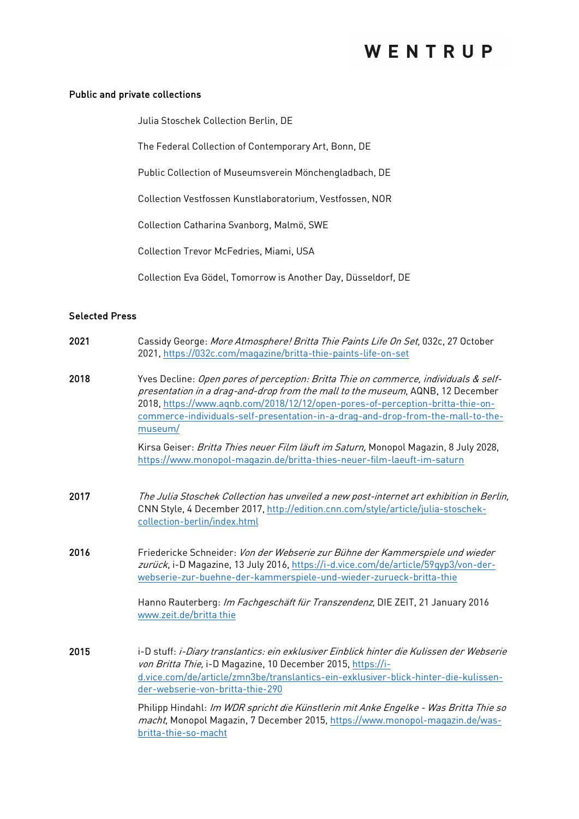### Public and private collections

Julia Stoschek Collection Berlin, DE

The Federal Collection of Contemporary Art, Bonn, DE

Public Collection of Museumsverein Mönchengladbach, DE

Collection Vestfossen Kunstlaboratorium, Vestfossen, NOR

Collection Catharina Svanborg, Malmö, SWE

Collection Trevor McFedries, Miami, USA

Collection Eva Gödel, Tomorrow is Another Day, Düsseldorf, DE

#### Selected Press

| 2021 | Cassidy George: More Atmosphere! Britta Thie Paints Life On Set, 032c, 27 October<br>2021, https://032c.com/magazine/britta-thie-paints-life-on-set                                                                                                                                                                                                    |
|------|--------------------------------------------------------------------------------------------------------------------------------------------------------------------------------------------------------------------------------------------------------------------------------------------------------------------------------------------------------|
| 2018 | Yves Decline: Open pores of perception: Britta Thie on commerce, individuals & self-<br>presentation in a drag-and-drop from the mall to the museum, AQNB, 12 December<br>2018, https://www.aqnb.com/2018/12/12/open-pores-of-perception-britta-thie-on-<br>commerce-individuals-self-presentation-in-a-drag-and-drop-from-the-mall-to-the-<br>museum/ |
|      | Kirsa Geiser: Britta Thies neuer Film läuft im Saturn, Monopol Magazin, 8 July 2028,<br>https://www.monopol-magazin.de/britta-thies-neuer-film-laeuft-im-saturn                                                                                                                                                                                        |
| 2017 | The Julia Stoschek Collection has unveiled a new post-internet art exhibition in Berlin,<br>CNN Style, 4 December 2017, http://edition.cnn.com/style/article/julia-stoschek-<br>collection-berlin/index.html                                                                                                                                           |
| 2016 | Friedericke Schneider: Von der Webserie zur Bühne der Kammerspiele und wieder<br>zurück, i-D Magazine, 13 July 2016, https://i-d.vice.com/de/article/59qyp3/von-der-<br>webserie-zur-buehne-der-kammerspiele-und-wieder-zurueck-britta-thie<br>Hanno Rauterberg: Im Fachgeschäft für Transzendenz, DIE ZEIT, 21 January 2016                           |
|      | www.zeit.de/britta thie                                                                                                                                                                                                                                                                                                                                |
| 2015 | i-D stuff: i-Diary translantics: ein exklusiver Einblick hinter die Kulissen der Webserie<br>von Britta Thie, i-D Magazine, 10 December 2015, https://i-<br>d.vice.com/de/article/zmn3be/translantics-ein-exklusiver-blick-hinter-die-kulissen-<br>der-webserie-von-britta-thie-290                                                                    |
|      | Philipp Hindahl: Im WDR spricht die Künstlerin mit Anke Engelke - Was Britta Thie so<br>macht, Monopol Magazin, 7 December 2015, https://www.monopol-magazin.de/was-<br>britta-thie-so-macht                                                                                                                                                           |